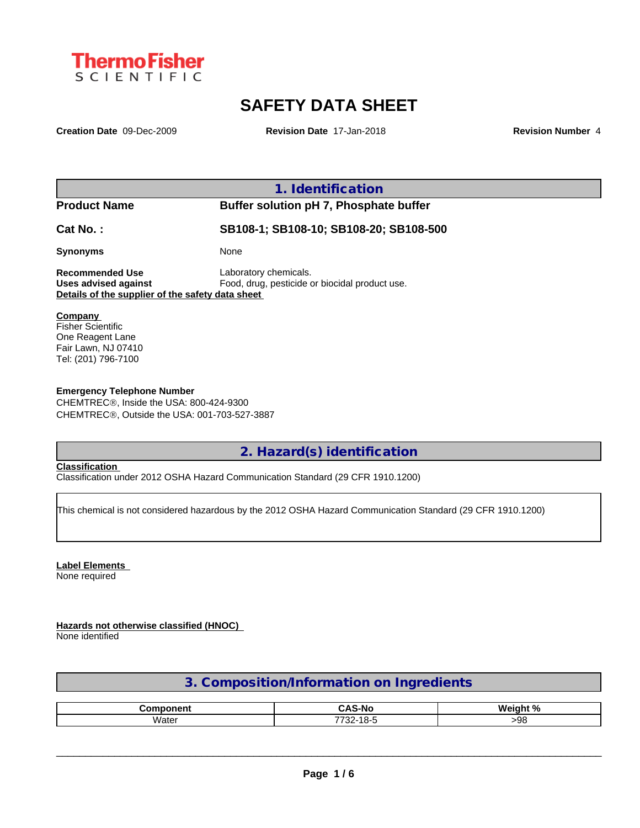

# **SAFETY DATA SHEET**

**Creation Date** 09-Dec-2009 **Revision Date** 17-Jan-2018 **Revision Number** 4

|                                                  | 1. Identification                              |  |
|--------------------------------------------------|------------------------------------------------|--|
| <b>Product Name</b>                              | Buffer solution pH 7, Phosphate buffer         |  |
| Cat No.:                                         | SB108-1; SB108-10; SB108-20; SB108-500         |  |
| <b>Synonyms</b>                                  | None                                           |  |
| <b>Recommended Use</b>                           | Laboratory chemicals.                          |  |
| Uses advised against                             | Food, drug, pesticide or biocidal product use. |  |
| Details of the supplier of the safety data sheet |                                                |  |
| Company                                          |                                                |  |
| <b>Fisher Scientific</b>                         |                                                |  |
| One Reagent Lane                                 |                                                |  |
| Fair Lawn, NJ 07410                              |                                                |  |
| Tel: (201) 796-7100                              |                                                |  |

**Emergency Telephone Number** CHEMTREC®, Inside the USA: 800-424-9300 CHEMTREC®, Outside the USA: 001-703-527-3887

**2. Hazard(s) identification**

### **Classification**

Classification under 2012 OSHA Hazard Communication Standard (29 CFR 1910.1200)

This chemical is not considered hazardous by the 2012 OSHA Hazard Communication Standard (29 CFR 1910.1200)

## **Label Elements**

None required

**Hazards not otherwise classified (HNOC)**

None identified

## **3. Composition/Information on Ingredients**

| ---------<br>nm. | -<br>~^c-<br>-N⁄<br>. .                                 | 1. N /<br><b>Wainh</b> |
|------------------|---------------------------------------------------------|------------------------|
| Wateı            | $\overline{\phantom{0}}$<br>7700<br><br>-SZ.<br>~-<br>. | na<br>.                |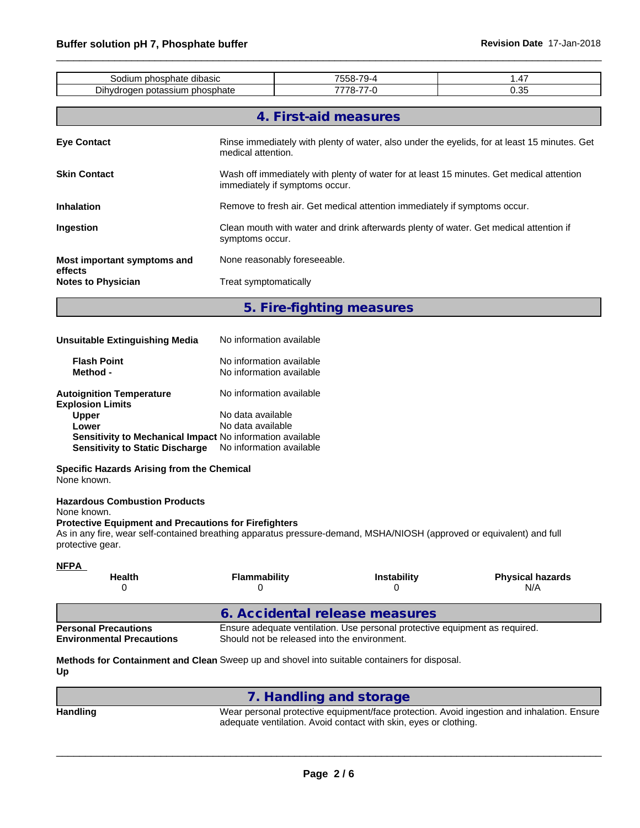| Sodium phosphate dibasic                                                                                                                                                                                                                                         |                                                                                                                             |                                | 7558-79-4                      | 1.47                                                                                     |  |
|------------------------------------------------------------------------------------------------------------------------------------------------------------------------------------------------------------------------------------------------------------------|-----------------------------------------------------------------------------------------------------------------------------|--------------------------------|--------------------------------|------------------------------------------------------------------------------------------|--|
| Dihydrogen potassium phosphate                                                                                                                                                                                                                                   |                                                                                                                             |                                | 7778-77-0                      | 0.35                                                                                     |  |
|                                                                                                                                                                                                                                                                  |                                                                                                                             | 4. First-aid measures          |                                |                                                                                          |  |
| <b>Eye Contact</b>                                                                                                                                                                                                                                               | Rinse immediately with plenty of water, also under the eyelids, for at least 15 minutes. Get<br>medical attention.          |                                |                                |                                                                                          |  |
| <b>Skin Contact</b>                                                                                                                                                                                                                                              |                                                                                                                             | immediately if symptoms occur. |                                | Wash off immediately with plenty of water for at least 15 minutes. Get medical attention |  |
| <b>Inhalation</b>                                                                                                                                                                                                                                                |                                                                                                                             |                                |                                | Remove to fresh air. Get medical attention immediately if symptoms occur.                |  |
| Ingestion                                                                                                                                                                                                                                                        | symptoms occur.                                                                                                             |                                |                                | Clean mouth with water and drink afterwards plenty of water. Get medical attention if    |  |
| Most important symptoms and<br>effects                                                                                                                                                                                                                           |                                                                                                                             | None reasonably foreseeable.   |                                |                                                                                          |  |
| <b>Notes to Physician</b>                                                                                                                                                                                                                                        | Treat symptomatically                                                                                                       |                                |                                |                                                                                          |  |
|                                                                                                                                                                                                                                                                  |                                                                                                                             | 5. Fire-fighting measures      |                                |                                                                                          |  |
| <b>Unsuitable Extinguishing Media</b>                                                                                                                                                                                                                            | No information available                                                                                                    |                                |                                |                                                                                          |  |
| <b>Flash Point</b><br>Method -                                                                                                                                                                                                                                   | No information available<br>No information available                                                                        |                                |                                |                                                                                          |  |
| <b>Autoignition Temperature</b><br><b>Explosion Limits</b><br><b>Upper</b><br>Lower<br>Sensitivity to Mechanical Impact No information available<br><b>Sensitivity to Static Discharge</b>                                                                       | No information available<br>No data available<br>No data available<br>No information available                              |                                |                                |                                                                                          |  |
| <b>Specific Hazards Arising from the Chemical</b><br>None known.                                                                                                                                                                                                 |                                                                                                                             |                                |                                |                                                                                          |  |
| <b>Hazardous Combustion Products</b><br>None known.<br><b>Protective Equipment and Precautions for Firefighters</b><br>As in any fire, wear self-contained breathing apparatus pressure-demand, MSHA/NIOSH (approved or equivalent) and full<br>protective gear. |                                                                                                                             |                                |                                |                                                                                          |  |
| <b>NFPA</b><br>Health<br>0                                                                                                                                                                                                                                       | Flammability<br>0                                                                                                           |                                | Instability<br>0               | <b>Physical hazards</b><br>N/A                                                           |  |
|                                                                                                                                                                                                                                                                  |                                                                                                                             |                                | 6. Accidental release measures |                                                                                          |  |
| <b>Personal Precautions</b><br><b>Environmental Precautions</b>                                                                                                                                                                                                  | Ensure adequate ventilation. Use personal protective equipment as required.<br>Should not be released into the environment. |                                |                                |                                                                                          |  |

**Methods for Containment and Clean** Sweep up and shovel into suitable containers for disposal. **Up**

|                 | . Handling and storage                                                                                                                                         |
|-----------------|----------------------------------------------------------------------------------------------------------------------------------------------------------------|
| <b>Handling</b> | Wear personal protective equipment/face protection. Avoid ingestion and inhalation. Ensure<br>adequate ventilation. Avoid contact with skin, eyes or clothing. |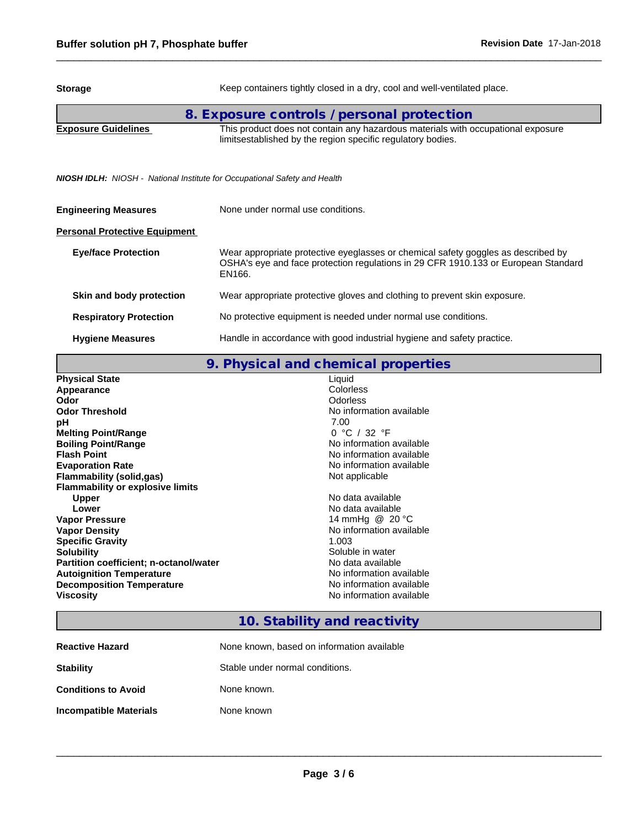# **Storage** Keep containers tightly closed in a dry, cool and well-ventilated place. **8. Exposure controls / personal protection Exposure Guidelines** This product does not contain any hazardous materials with occupational exposure limitsestablished by the region specific regulatory bodies.

*NIOSH IDLH: NIOSH - National Institute for Occupational Safety and Health*

| <b>Engineering Measures</b>          | None under normal use conditions.                                                                                                                                                 |
|--------------------------------------|-----------------------------------------------------------------------------------------------------------------------------------------------------------------------------------|
| <b>Personal Protective Equipment</b> |                                                                                                                                                                                   |
| <b>Eye/face Protection</b>           | Wear appropriate protective eyeglasses or chemical safety goggles as described by<br>OSHA's eye and face protection regulations in 29 CFR 1910.133 or European Standard<br>EN166. |
| Skin and body protection             | Wear appropriate protective gloves and clothing to prevent skin exposure.                                                                                                         |
| <b>Respiratory Protection</b>        | No protective equipment is needed under normal use conditions.                                                                                                                    |
| <b>Hygiene Measures</b>              | Handle in accordance with good industrial hygiene and safety practice.                                                                                                            |

**9. Physical and chemical properties**

| <b>Physical State</b>                   | Liquid                   |
|-----------------------------------------|--------------------------|
| Appearance                              | Colorless                |
| Odor                                    | Odorless                 |
| <b>Odor Threshold</b>                   | No information available |
| рH                                      | 7.00                     |
| <b>Melting Point/Range</b>              | 0 °C / 32 °F             |
| <b>Boiling Point/Range</b>              | No information available |
| <b>Flash Point</b>                      | No information available |
| <b>Evaporation Rate</b>                 | No information available |
| Flammability (solid,gas)                | Not applicable           |
| <b>Flammability or explosive limits</b> |                          |
| <b>Upper</b>                            | No data available        |
| Lower                                   | No data available        |
| <b>Vapor Pressure</b>                   | 14 mmHg @ 20 °C          |
| <b>Vapor Density</b>                    | No information available |
| <b>Specific Gravity</b>                 | 1.003                    |
| <b>Solubility</b>                       | Soluble in water         |
| Partition coefficient; n-octanol/water  | No data available        |
| <b>Autoignition Temperature</b>         | No information available |
| <b>Decomposition Temperature</b>        | No information available |
| Viscosity                               | No information available |

## **10. Stability and reactivity**

| <b>Reactive Hazard</b>     | None known, based on information available |
|----------------------------|--------------------------------------------|
| <b>Stability</b>           | Stable under normal conditions.            |
| <b>Conditions to Avoid</b> | None known.                                |
| Incompatible Materials     | None known                                 |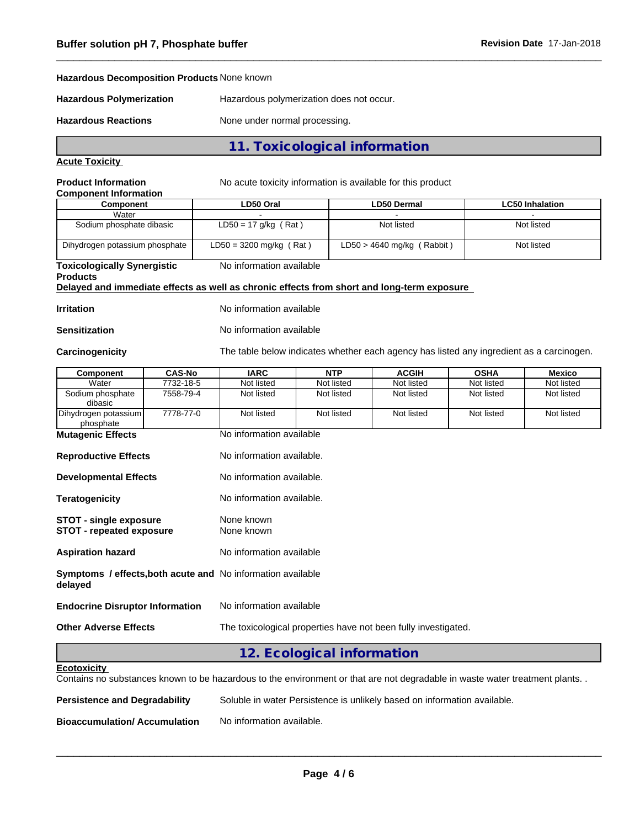## **Hazardous Decomposition Products** None known

**Hazardous Polymerization** Hazardous polymerization does not occur.

Hazardous Reactions **None under normal processing**.

## **11. Toxicological information**

## **Acute Toxicity**

**Product Information** No acute toxicity information is available for this product

| <b>Component Information</b>   |                           |                              |                        |
|--------------------------------|---------------------------|------------------------------|------------------------|
| Component                      | LD50 Oral                 | <b>LD50 Dermal</b>           | <b>LC50 Inhalation</b> |
| Water                          |                           |                              |                        |
| Sodium phosphate dibasic       | $LD50 = 17$ g/kg (Rat)    | Not listed                   | Not listed             |
| Dihydrogen potassium phosphate | $LD50 = 3200$ mg/kg (Rat) | $LD50 > 4640$ mg/kg (Rabbit) | Not listed             |

#### **Toxicologically Synergistic** No information available

## **Products**

**Delayed and immediate effects as well as chronic effects from short and long-term exposure**

**Irritation** No information available

**Sensitization** No information available

Carcinogenicity **The table below indicates whether each agency has listed any ingredient as a carcinogen.** 

| Component                         | <b>CAS-No</b> | <b>IARC</b>              | NTP        | <b>ACGIH</b> | <b>OSHA</b> | Mexico     |
|-----------------------------------|---------------|--------------------------|------------|--------------|-------------|------------|
| Water                             | 7732-18-5     | Not listed               | Not listed | Not listed   | Not listed  | Not listed |
| Sodium phosphate<br>dibasic       | 7558-79-4     | Not listed               | Not listed | Not listed   | Not listed  | Not listed |
| Dihydrogen potassium<br>phosphate | 7778-77-0     | Not listed               | Not listed | Not listed   | Not listed  | Not listed |
| <b>Mutagenic Effects</b>          |               | No information available |            |              |             |            |

| <b>Reproductive Effects</b>                                                   | No information available.                                      |
|-------------------------------------------------------------------------------|----------------------------------------------------------------|
| <b>Developmental Effects</b>                                                  | No information available.                                      |
| <b>Teratogenicity</b>                                                         | No information available.                                      |
| <b>STOT - single exposure</b><br><b>STOT - repeated exposure</b>              | None known<br>None known                                       |
| <b>Aspiration hazard</b>                                                      | No information available                                       |
| <b>Symptoms / effects, both acute and No information available</b><br>delayed |                                                                |
| <b>Endocrine Disruptor Information</b>                                        | No information available                                       |
| <b>Other Adverse Effects</b>                                                  | The toxicological properties have not been fully investigated. |

## **12. Ecological information**

Contains no substances known to be hazardous to the environment or that are not degradable in waste water treatment plants. .

| <b>Persistence and Degradability</b> | Soluble in water Persistence is unlikely based on information available. |
|--------------------------------------|--------------------------------------------------------------------------|
| <b>Bioaccumulation/Accumulation</b>  | No information available.                                                |

**Ecotoxicity**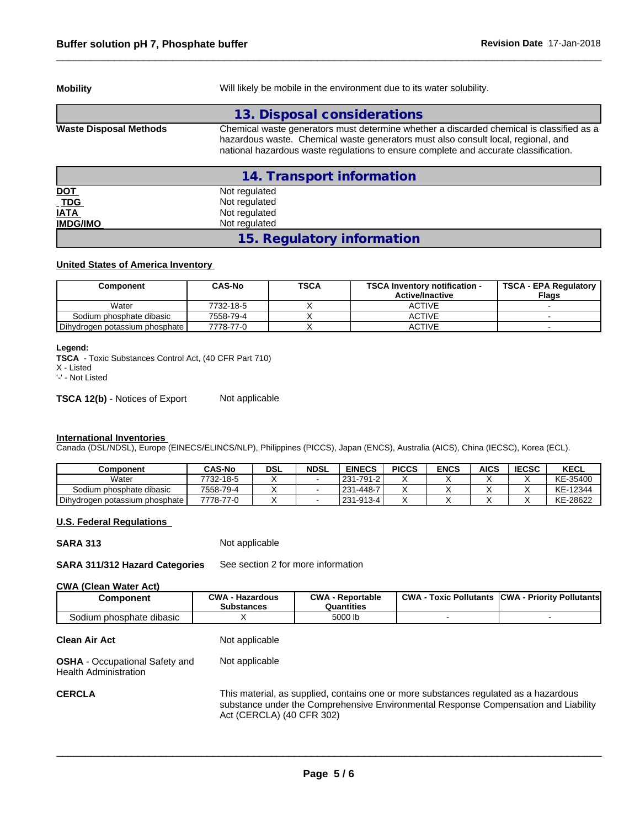**Mobility** Mobility **Mobility** Will likely be mobile in the environment due to its water solubility.

|                               | 13. Disposal considerations                                                                                                                                                                                                                                           |
|-------------------------------|-----------------------------------------------------------------------------------------------------------------------------------------------------------------------------------------------------------------------------------------------------------------------|
| <b>Waste Disposal Methods</b> | Chemical waste generators must determine whether a discarded chemical is classified as a<br>hazardous waste. Chemical waste generators must also consult local, regional, and<br>national hazardous waste regulations to ensure complete and accurate classification. |
|                               | 14. Transport information                                                                                                                                                                                                                                             |
| <u>DOT</u>                    | Not regulated                                                                                                                                                                                                                                                         |
| TDG                           | Not regulated                                                                                                                                                                                                                                                         |
| <b>IATA</b>                   | Not regulated                                                                                                                                                                                                                                                         |
| <b>IMDG/IMO</b>               | Not regulated                                                                                                                                                                                                                                                         |

**15. Regulatory information**

## **United States of America Inventory**

| Component                      | CAS-No    | <b>TSCA</b> | <b>TSCA Inventory notification -</b><br><b>Active/Inactive</b> | <b>TSCA - EPA Regulatory</b><br><b>Flags</b> |
|--------------------------------|-----------|-------------|----------------------------------------------------------------|----------------------------------------------|
| Water                          | 7732-18-5 |             | ACTIVE                                                         |                                              |
| Sodium phosphate dibasic       | 7558-79-4 |             | ACTIVE                                                         |                                              |
| Dihydrogen potassium phosphate | 7778-77-0 |             | <b>ACTIVE</b>                                                  |                                              |

#### **Legend:**

**TSCA** - Toxic Substances Control Act, (40 CFR Part 710)

X - Listed

'-' - Not Listed

**TSCA 12(b)** - Notices of Export Not applicable

### **International Inventories**

Canada (DSL/NDSL), Europe (EINECS/ELINCS/NLP), Philippines (PICCS), Japan (ENCS), Australia (AICS), China (IECSC), Korea (ECL).

| Component                      | <b>CAS-No</b> | <b>DSL</b> | <b>NDSL</b> | <b>EINECS</b>     | <b>PICCS</b> | <b>ENCS</b> | <b>AICS</b> | <b>IECSC</b> | KECL     |
|--------------------------------|---------------|------------|-------------|-------------------|--------------|-------------|-------------|--------------|----------|
| Water                          | 7732-18-5     |            |             | 231-791-2         |              |             |             |              | KE-35400 |
| Sodium phosphate dibasic       | 7558-79-4     |            |             | $ 231 - 448 - 7 $ |              |             |             |              | KE-12344 |
| Dihydrogen potassium phosphate | 7778-77-0     |            |             | 231-913-4         |              |             |             |              | KE-28622 |

#### **U.S. Federal Regulations**

**SARA 313** Not applicable

**SARA 311/312 Hazard Categories** See section 2 for more information

## **CWA** (Clean Water Act)

| Component                    | ∩W∆<br>- Hazardous<br><b>Substances</b> | CWA<br>Reportable<br>Quantities | <b>CWA</b><br>: Pollutants<br><b>Toxic</b> | . - Priority Pollutantsl<br><b>ICWA</b> |
|------------------------------|-----------------------------------------|---------------------------------|--------------------------------------------|-----------------------------------------|
| <br>Sodium phosphate dibasic |                                         | 5000 lb                         |                                            |                                         |

#### **Clean Air Act** Not applicable

**OSHA** - Occupational Safety and Health Administration Not applicable

**CERCLA** This material, as supplied, contains one or more substances regulated as a hazardous substance under the Comprehensive Environmental Response Compensation and Liability Act (CERCLA) (40 CFR 302)